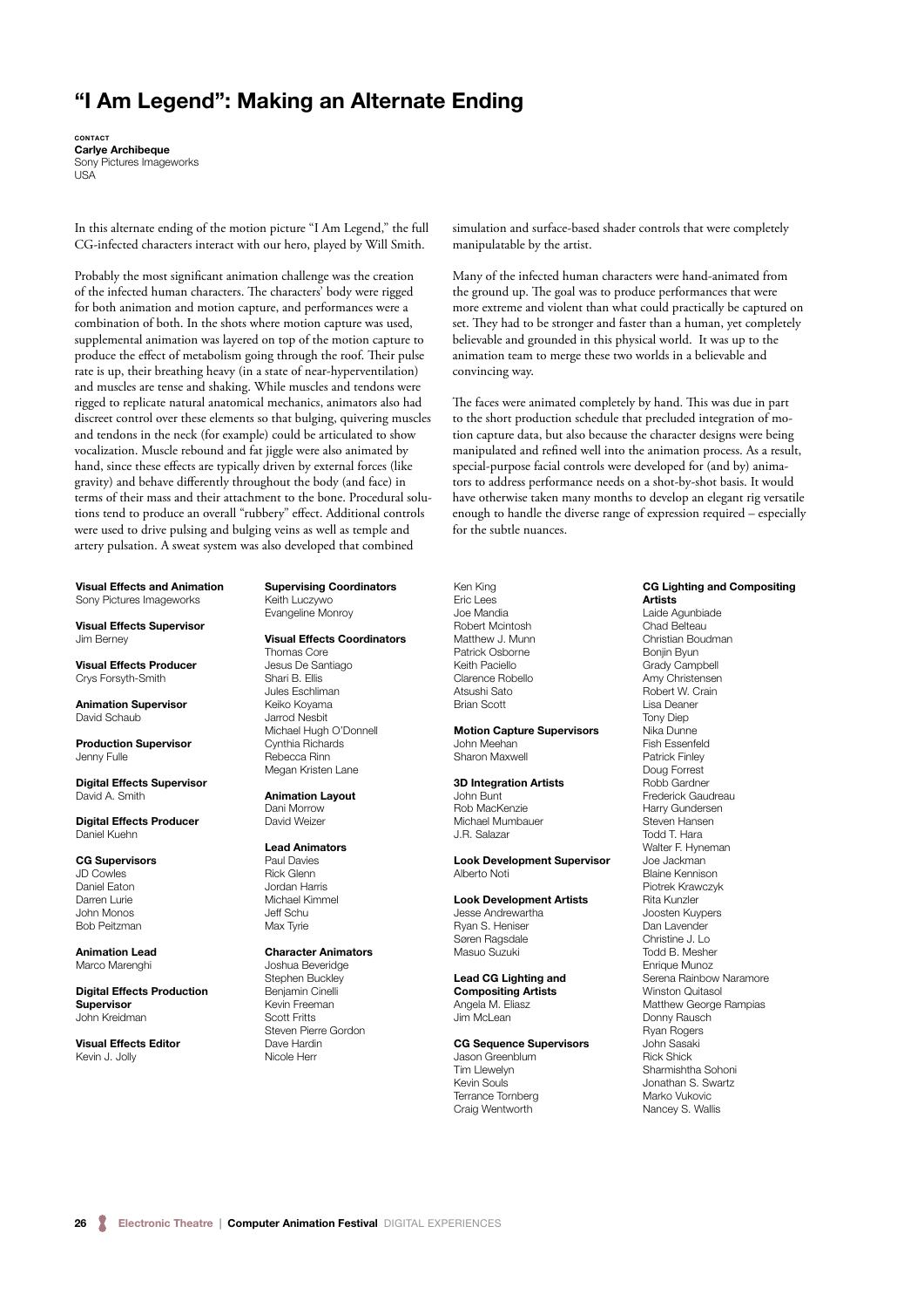# "I Am Legend": Making an Alternate Ending

contact Carlye Archibeque Sony Pictures Imageworks USA

In this alternate ending of the motion picture "I Am Legend," the full CG-infected characters interact with our hero, played by Will Smith.

Probably the most significant animation challenge was the creation of the infected human characters. The characters' body were rigged for both animation and motion capture, and performances were a combination of both. In the shots where motion capture was used, supplemental animation was layered on top of the motion capture to produce the effect of metabolism going through the roof. Their pulse rate is up, their breathing heavy (in a state of near-hyperventilation) and muscles are tense and shaking. While muscles and tendons were rigged to replicate natural anatomical mechanics, animators also had discreet control over these elements so that bulging, quivering muscles and tendons in the neck (for example) could be articulated to show vocalization. Muscle rebound and fat jiggle were also animated by hand, since these effects are typically driven by external forces (like gravity) and behave differently throughout the body (and face) in terms of their mass and their attachment to the bone. Procedural solutions tend to produce an overall "rubbery" effect. Additional controls were used to drive pulsing and bulging veins as well as temple and artery pulsation. A sweat system was also developed that combined

#### Visual Effects and Animation Sony Pictures Imageworks

Visual Effects Supervisor Jim Berney

Visual Effects Producer Crys Forsyth-Smith

Animation Supervisor David Schaub

Production Supervisor Jenny Fulle

Digital Effects Supervisor David A. Smith

Digital Effects Producer Daniel Kuehn

### CG Supervisors

JD Cowles Daniel Eaton Darren Lurie John Monos Bob Peitzman

Animation Lead Marco Marenghi

Digital Effects Production Supervisor John Kreidman

Visual Effects Editor Kevin J. Jolly

### Supervising Coordinators Keith Luczywo

Evangeline Monroy

Visual Effects Coordinators Thomas Core Jesus De Santiago Shari B. Ellis Jules Eschliman Keiko Koyama Jarrod Nesbit Michael Hugh O'Donnell Cynthia Richards Rebecca Rinn Megan Kristen Lane

#### Animation Layout Dani Morrow David Weizer

Lead Animators

Paul Davies Rick Glenn Jordan Harris Michael Kimmel Jeff Schu Max Tyrie

#### Character Animators Joshua Beveridge

Stephen Buckley Benjamin Cinelli Kevin Freeman Scott Fritts Steven Pierre Gordon Dave Hardin Nicole Herr

simulation and surface-based shader controls that were completely manipulatable by the artist.

Many of the infected human characters were hand-animated from the ground up. The goal was to produce performances that were more extreme and violent than what could practically be captured on set. They had to be stronger and faster than a human, yet completely believable and grounded in this physical world. It was up to the animation team to merge these two worlds in a believable and convincing way.

The faces were animated completely by hand. This was due in part to the short production schedule that precluded integration of motion capture data, but also because the character designs were being manipulated and refined well into the animation process. As a result, special-purpose facial controls were developed for (and by) animators to address performance needs on a shot-by-shot basis. It would have otherwise taken many months to develop an elegant rig versatile enough to handle the diverse range of expression required – especially for the subtle nuances.

Ken King Eric Lees Joe Mandia Robert Mcintosh Matthew J. Munn Patrick Osborne Keith Paciello Clarence Robello Atsushi Sato Brian Scott

#### Motion Capture Supervisors John Meehan Sharon Maxwell

3D Integration Artists John Bunt

Rob MacKenzie Michael Mumbauer J.R. Salazar

Look Development Supervisor Alberto Noti

Look Development Artists Jesse Andrewartha Ryan S. Heniser

Søren Ragsdale Masuo Suzuki

Lead CG Lighting and Compositing Artists Angela M. Eliasz Jim McLean

CG Sequence Supervisors

Jason Greenblum Tim Llewelyn Kevin Souls Terrance Tornberg Craig Wentworth

#### CG Lighting and Compositing Artists

Laide Agunbiade Chad Belteau Christian Boudman Bonjin Byun Grady Campbell Amy Christensen Robert W. Crain Lisa Deaner Tony Diep Nika Dunne Fish Essenfeld Patrick Finley Doug Forrest Robb Gardner Frederick Gaudreau Harry Gundersen Steven Hansen Todd T. Hara Walter F. Hyneman Joe Jackman Blaine Kennison Piotrek Krawczyk Rita Kunzler Joosten Kuypers Dan Lavender Christine J. Lo Todd B. Mesher Enrique Munoz Serena Rainbow Naramore Winston Quitasol Matthew George Rampias Donny Rausch Ryan Rogers John Sasaki Rick Shick Sharmishtha Sohoni Jonathan S. Swartz Marko Vukovic Nancey S. Wallis